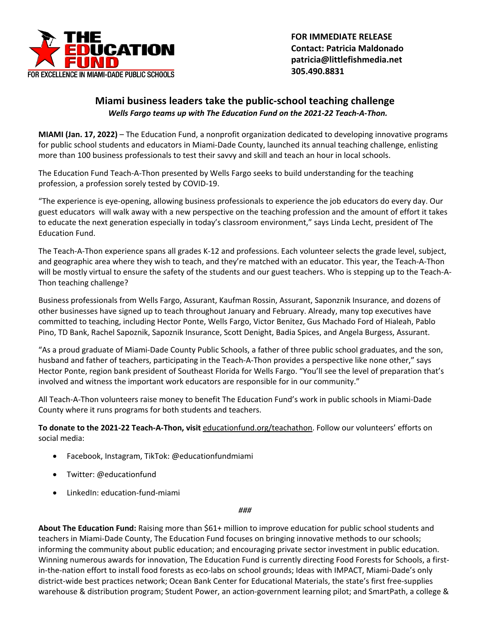

 **FOR IMMEDIATE RELEASE Contact: Patricia Maldonado patricia@littlefishmedia.net 305.490.8831**

## **Miami business leaders take the public-school teaching challenge** *Wells Fargo teams up with The Education Fund on the 2021-22 Teach-A-Thon.*

**MIAMI (Jan. 17, 2022)** – The Education Fund, a nonprofit organization dedicated to developing innovative programs for public school students and educators in Miami-Dade County, launched its annual teaching challenge, enlisting more than 100 business professionals to test their savvy and skill and teach an hour in local schools.

The Education Fund Teach-A-Thon presented by Wells Fargo seeks to build understanding for the teaching profession, a profession sorely tested by COVID-19.

"The experience is eye-opening, allowing business professionals to experience the job educators do every day. Our guest educators will walk away with a new perspective on the teaching profession and the amount of effort it takes to educate the next generation especially in today's classroom environment," says Linda Lecht, president of The Education Fund.

The Teach-A-Thon experience spans all grades K-12 and professions. Each volunteer selects the grade level, subject, and geographic area where they wish to teach, and they're matched with an educator. This year, the Teach-A-Thon will be mostly virtual to ensure the safety of the students and our guest teachers. Who is stepping up to the Teach-A-Thon teaching challenge?

Business professionals from Wells Fargo, Assurant, Kaufman Rossin, Assurant, Saponznik Insurance, and dozens of other businesses have signed up to teach throughout January and February. Already, many top executives have committed to teaching, including Hector Ponte, Wells Fargo, Victor Benitez, Gus Machado Ford of Hialeah, Pablo Pino, TD Bank, Rachel Sapoznik, Sapoznik Insurance, Scott Denight, Badia Spices, and Angela Burgess, Assurant.

"As a proud graduate of Miami-Dade County Public Schools, a father of three public school graduates, and the son, husband and father of teachers, participating in the Teach-A-Thon provides a perspective like none other," says Hector Ponte, region bank president of Southeast Florida for Wells Fargo. "You'll see the level of preparation that's involved and witness the important work educators are responsible for in our community."

All Teach-A-Thon volunteers raise money to benefit The Education Fund's work in public schools in Miami-Dade County where it runs programs for both students and teachers.

**To donate to the 2021-22 Teach-A-Thon, visit** educationfund.org/teachathon. Follow our volunteers' efforts on social media:

- Facebook, Instagram, TikTok: @educationfundmiami
- Twitter: @educationfund
- LinkedIn: education-fund-miami

*###*

**About The Education Fund:** Raising more than \$61+ million to improve education for public school students and teachers in Miami-Dade County, The Education Fund focuses on bringing innovative methods to our schools; informing the community about public education; and encouraging private sector investment in public education. Winning numerous awards for innovation, The Education Fund is currently directing Food Forests for Schools, a firstin-the-nation effort to install food forests as eco-labs on school grounds; Ideas with IMPACT, Miami-Dade's only district-wide best practices network; Ocean Bank Center for Educational Materials, the state's first free-supplies warehouse & distribution program; Student Power, an action-government learning pilot; and SmartPath, a college &